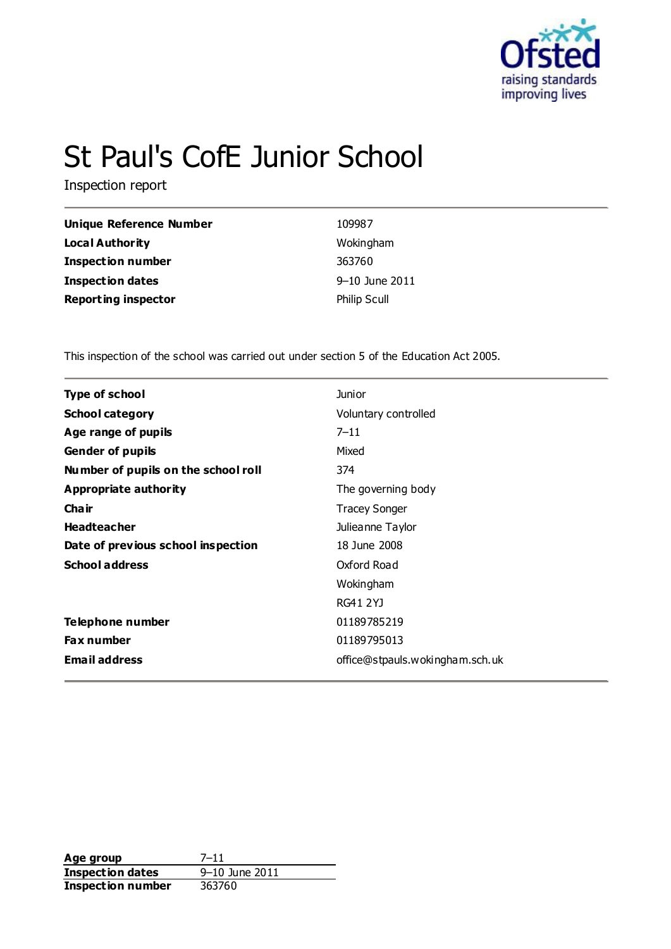

# St Paul's CofE Junior School

Inspection report

| Unique Reference Number    | 109987              |
|----------------------------|---------------------|
| <b>Local Authority</b>     | Wokingham           |
| <b>Inspection number</b>   | 363760              |
| <b>Inspection dates</b>    | 9–10 June 2011      |
| <b>Reporting inspector</b> | <b>Philip Scull</b> |

This inspection of the school was carried out under section 5 of the Education Act 2005.

| <b>Type of school</b>               | <b>Junior</b>                   |
|-------------------------------------|---------------------------------|
| <b>School category</b>              | Voluntary controlled            |
| Age range of pupils                 | $7 - 11$                        |
| <b>Gender of pupils</b>             | Mixed                           |
| Number of pupils on the school roll | 374                             |
| <b>Appropriate authority</b>        | The governing body              |
| Cha ir                              | <b>Tracey Songer</b>            |
| <b>Headteacher</b>                  | Julieanne Taylor                |
| Date of previous school inspection  | 18 June 2008                    |
| <b>School address</b>               | Oxford Road                     |
|                                     | Wokingham                       |
|                                     | RG41 2YJ                        |
| Telephone number                    | 01189785219                     |
| <b>Fax number</b>                   | 01189795013                     |
| <b>Email address</b>                | office@stpauls.wokingham.sch.uk |

**Age group** 7-11<br> **Inspection dates** 9-10 June 2011 **Inspection dates** 9–10 June 1 9–10 June 2014 **Inspection number**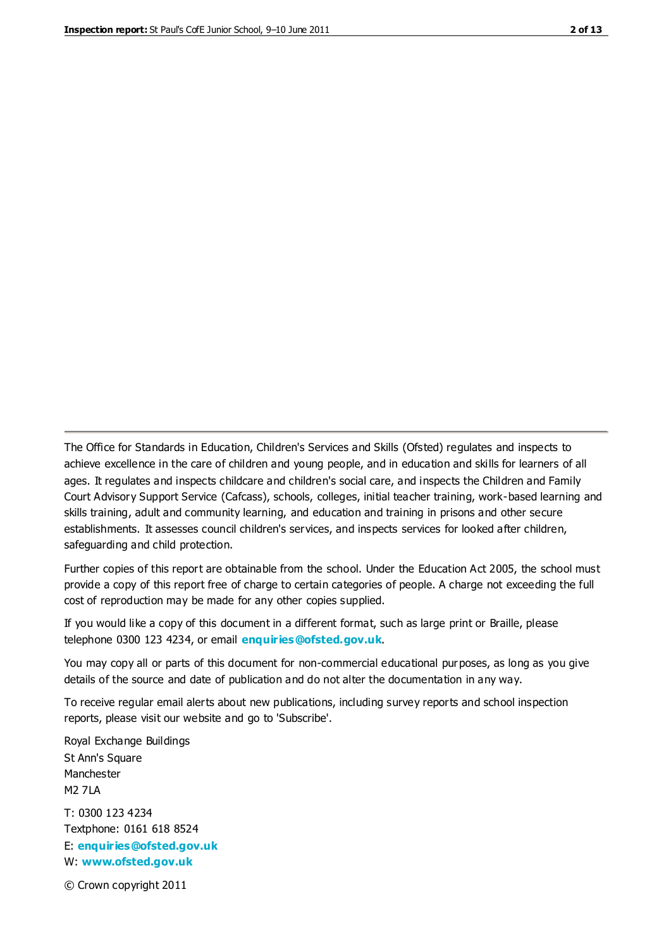The Office for Standards in Education, Children's Services and Skills (Ofsted) regulates and inspects to achieve excellence in the care of children and young people, and in education and skills for learners of all ages. It regulates and inspects childcare and children's social care, and inspects the Children and Family Court Advisory Support Service (Cafcass), schools, colleges, initial teacher training, work-based learning and skills training, adult and community learning, and education and training in prisons and other secure establishments. It assesses council children's services, and inspects services for looked after children, safeguarding and child protection.

Further copies of this report are obtainable from the school. Under the Education Act 2005, the school must provide a copy of this report free of charge to certain categories of people. A charge not exceeding the full cost of reproduction may be made for any other copies supplied.

If you would like a copy of this document in a different format, such as large print or Braille, please telephone 0300 123 4234, or email **[enquiries@ofsted.gov.uk](mailto:enquiries@ofsted.gov.uk)**.

You may copy all or parts of this document for non-commercial educational purposes, as long as you give details of the source and date of publication and do not alter the documentation in any way.

To receive regular email alerts about new publications, including survey reports and school inspection reports, please visit our website and go to 'Subscribe'.

Royal Exchange Buildings St Ann's Square Manchester M2 7LA T: 0300 123 4234 Textphone: 0161 618 8524 E: **[enquiries@ofsted.gov.uk](mailto:enquiries@ofsted.gov.uk)**

W: **[www.ofsted.gov.uk](http://www.ofsted.gov.uk/)**

© Crown copyright 2011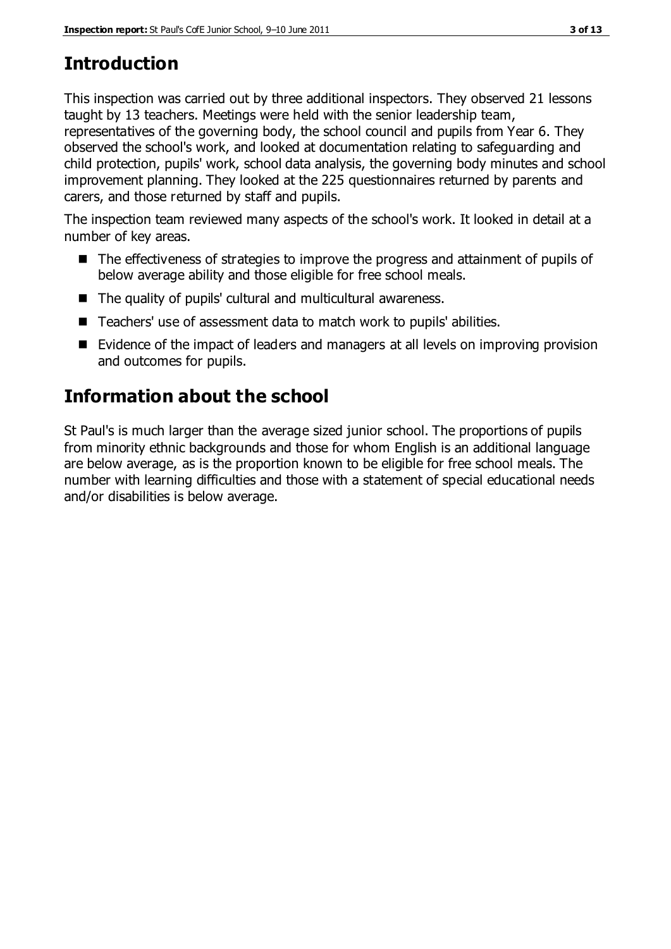# **Introduction**

This inspection was carried out by three additional inspectors. They observed 21 lessons taught by 13 teachers. Meetings were held with the senior leadership team, representatives of the governing body, the school council and pupils from Year 6. They observed the school's work, and looked at documentation relating to safeguarding and child protection, pupils' work, school data analysis, the governing body minutes and school improvement planning. They looked at the 225 questionnaires returned by parents and carers, and those returned by staff and pupils.

The inspection team reviewed many aspects of the school's work. It looked in detail at a number of key areas.

- The effectiveness of strategies to improve the progress and attainment of pupils of below average ability and those eligible for free school meals.
- The quality of pupils' cultural and multicultural awareness.
- Teachers' use of assessment data to match work to pupils' abilities.
- Evidence of the impact of leaders and managers at all levels on improving provision and outcomes for pupils.

# **Information about the school**

St Paul's is much larger than the average sized junior school. The proportions of pupils from minority ethnic backgrounds and those for whom English is an additional language are below average, as is the proportion known to be eligible for free school meals. The number with learning difficulties and those with a statement of special educational needs and/or disabilities is below average.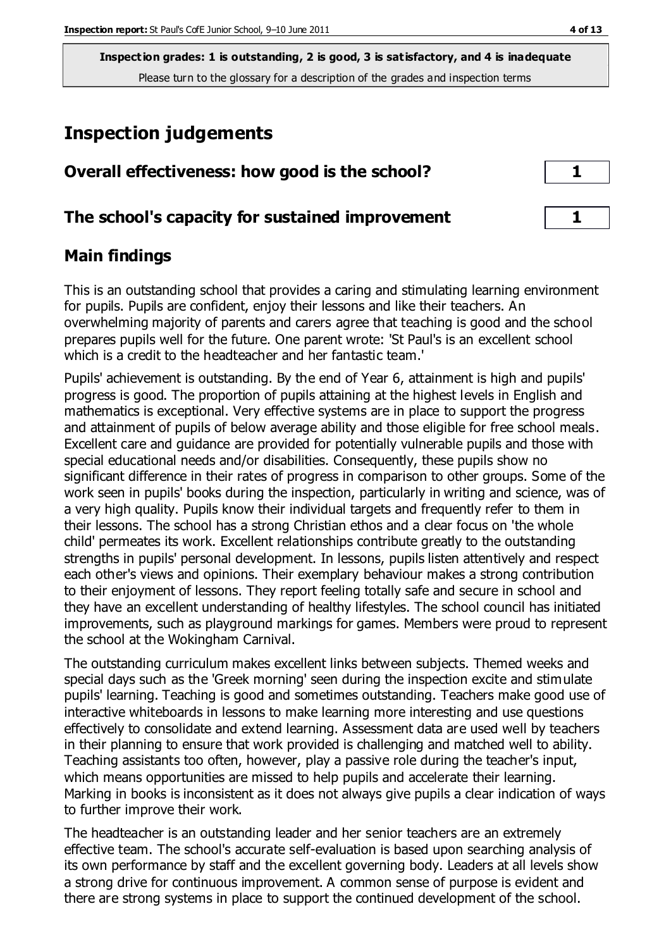## **Inspection judgements**

| Overall effectiveness: how good is the school?  |  |
|-------------------------------------------------|--|
| The school's capacity for sustained improvement |  |

## **Main findings**

This is an outstanding school that provides a caring and stimulating learning environment for pupils. Pupils are confident, enjoy their lessons and like their teachers. An overwhelming majority of parents and carers agree that teaching is good and the school prepares pupils well for the future. One parent wrote: 'St Paul's is an excellent school which is a credit to the headteacher and her fantastic team.'

Pupils' achievement is outstanding. By the end of Year 6, attainment is high and pupils' progress is good. The proportion of pupils attaining at the highest levels in English and mathematics is exceptional. Very effective systems are in place to support the progress and attainment of pupils of below average ability and those eligible for free school meals. Excellent care and guidance are provided for potentially vulnerable pupils and those with special educational needs and/or disabilities. Consequently, these pupils show no significant difference in their rates of progress in comparison to other groups. Some of the work seen in pupils' books during the inspection, particularly in writing and science, was of a very high quality. Pupils know their individual targets and frequently refer to them in their lessons. The school has a strong Christian ethos and a clear focus on 'the whole child' permeates its work. Excellent relationships contribute greatly to the outstanding strengths in pupils' personal development. In lessons, pupils listen attentively and respect each other's views and opinions. Their exemplary behaviour makes a strong contribution to their enjoyment of lessons. They report feeling totally safe and secure in school and they have an excellent understanding of healthy lifestyles. The school council has initiated improvements, such as playground markings for games. Members were proud to represent the school at the Wokingham Carnival.

The outstanding curriculum makes excellent links between subjects. Themed weeks and special days such as the 'Greek morning' seen during the inspection excite and stimulate pupils' learning. Teaching is good and sometimes outstanding. Teachers make good use of interactive whiteboards in lessons to make learning more interesting and use questions effectively to consolidate and extend learning. Assessment data are used well by teachers in their planning to ensure that work provided is challenging and matched well to ability. Teaching assistants too often, however, play a passive role during the teacher's input, which means opportunities are missed to help pupils and accelerate their learning. Marking in books is inconsistent as it does not always give pupils a clear indication of ways to further improve their work.

The headteacher is an outstanding leader and her senior teachers are an extremely effective team. The school's accurate self-evaluation is based upon searching analysis of its own performance by staff and the excellent governing body. Leaders at all levels show a strong drive for continuous improvement. A common sense of purpose is evident and there are strong systems in place to support the continued development of the school.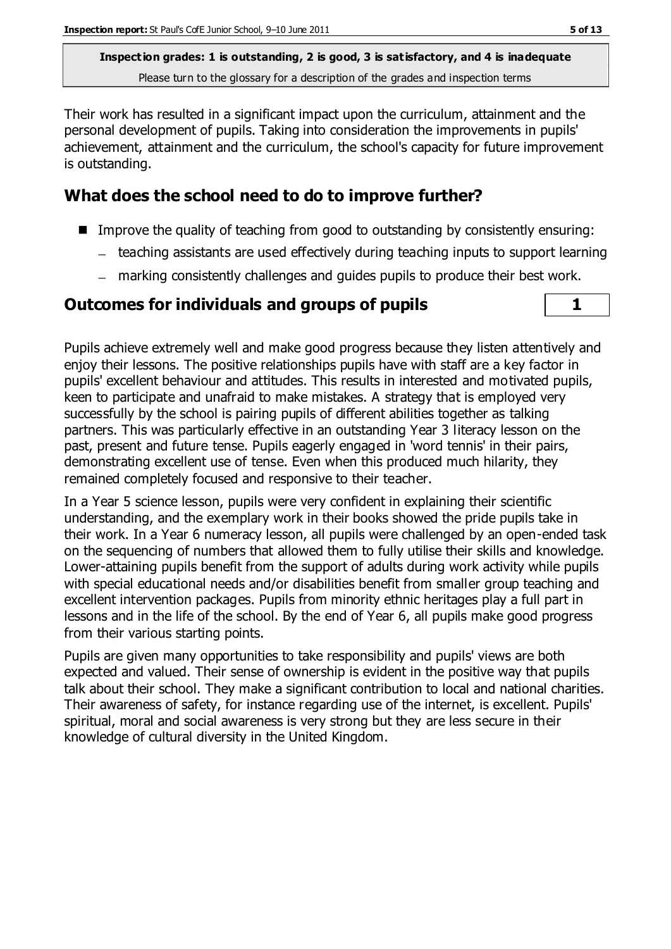Their work has resulted in a significant impact upon the curriculum, attainment and the personal development of pupils. Taking into consideration the improvements in pupils' achievement, attainment and the curriculum, the school's capacity for future improvement is outstanding.

## **What does the school need to do to improve further?**

- Improve the quality of teaching from good to outstanding by consistently ensuring:
	- teaching assistants are used effectively during teaching inputs to support learning
	- marking consistently challenges and guides pupils to produce their best work.

### **Outcomes for individuals and groups of pupils 1**

Pupils achieve extremely well and make good progress because they listen attentively and enjoy their lessons. The positive relationships pupils have with staff are a key factor in pupils' excellent behaviour and attitudes. This results in interested and motivated pupils, keen to participate and unafraid to make mistakes. A strategy that is employed very successfully by the school is pairing pupils of different abilities together as talking partners. This was particularly effective in an outstanding Year 3 literacy lesson on the past, present and future tense. Pupils eagerly engaged in 'word tennis' in their pairs, demonstrating excellent use of tense. Even when this produced much hilarity, they remained completely focused and responsive to their teacher.

In a Year 5 science lesson, pupils were very confident in explaining their scientific understanding, and the exemplary work in their books showed the pride pupils take in their work. In a Year 6 numeracy lesson, all pupils were challenged by an open-ended task on the sequencing of numbers that allowed them to fully utilise their skills and knowledge. Lower-attaining pupils benefit from the support of adults during work activity while pupils with special educational needs and/or disabilities benefit from smaller group teaching and excellent intervention packages. Pupils from minority ethnic heritages play a full part in lessons and in the life of the school. By the end of Year 6, all pupils make good progress from their various starting points.

Pupils are given many opportunities to take responsibility and pupils' views are both expected and valued. Their sense of ownership is evident in the positive way that pupils talk about their school. They make a significant contribution to local and national charities. Their awareness of safety, for instance regarding use of the internet, is excellent. Pupils' spiritual, moral and social awareness is very strong but they are less secure in their knowledge of cultural diversity in the United Kingdom.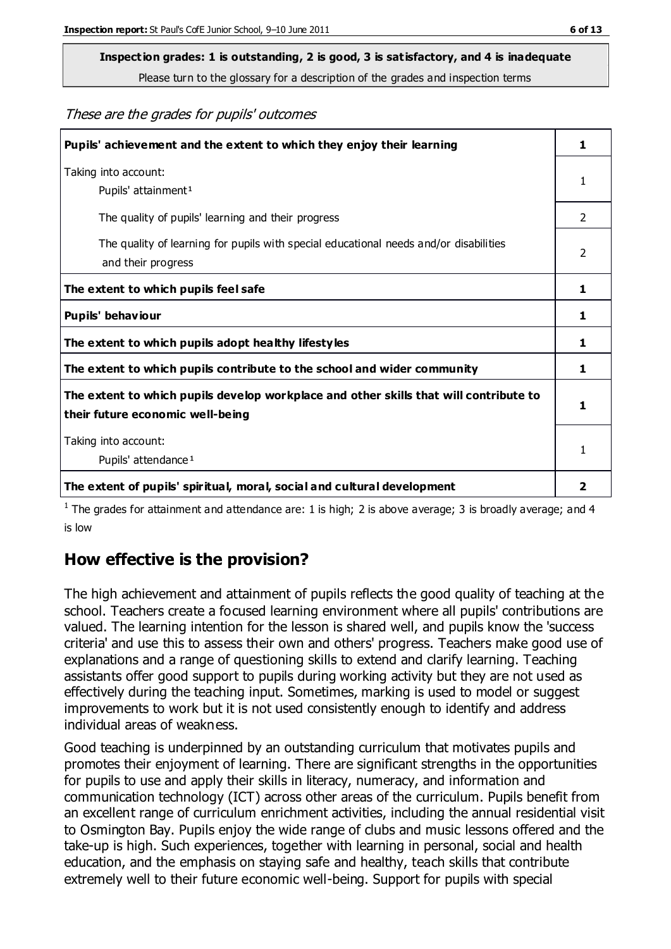# **Inspection grades: 1 is outstanding, 2 is good, 3 is satisfactory, and 4 is inadequate**

Please turn to the glossary for a description of the grades and inspection terms

#### These are the grades for pupils' outcomes

| Pupils' achievement and the extent to which they enjoy their learning                                                     | 1              |
|---------------------------------------------------------------------------------------------------------------------------|----------------|
| Taking into account:<br>Pupils' attainment <sup>1</sup>                                                                   | 1              |
| The quality of pupils' learning and their progress                                                                        | $\mathcal{P}$  |
| The quality of learning for pupils with special educational needs and/or disabilities<br>and their progress               | $\overline{2}$ |
| The extent to which pupils feel safe                                                                                      | 1              |
| Pupils' behaviour                                                                                                         | 1              |
| The extent to which pupils adopt healthy lifestyles                                                                       | 1              |
| The extent to which pupils contribute to the school and wider community                                                   | 1              |
| The extent to which pupils develop workplace and other skills that will contribute to<br>their future economic well-being |                |
| Taking into account:<br>Pupils' attendance <sup>1</sup>                                                                   |                |
| The extent of pupils' spiritual, moral, social and cultural development                                                   | $\overline{2}$ |

<sup>1</sup> The grades for attainment and attendance are: 1 is high; 2 is above average; 3 is broadly average; and 4 is low

#### **How effective is the provision?**

The high achievement and attainment of pupils reflects the good quality of teaching at the school. Teachers create a focused learning environment where all pupils' contributions are valued. The learning intention for the lesson is shared well, and pupils know the 'success criteria' and use this to assess their own and others' progress. Teachers make good use of explanations and a range of questioning skills to extend and clarify learning. Teaching assistants offer good support to pupils during working activity but they are not used as effectively during the teaching input. Sometimes, marking is used to model or suggest improvements to work but it is not used consistently enough to identify and address individual areas of weakness.

Good teaching is underpinned by an outstanding curriculum that motivates pupils and promotes their enjoyment of learning. There are significant strengths in the opportunities for pupils to use and apply their skills in literacy, numeracy, and information and communication technology (ICT) across other areas of the curriculum. Pupils benefit from an excellent range of curriculum enrichment activities, including the annual residential visit to Osmington Bay. Pupils enjoy the wide range of clubs and music lessons offered and the take-up is high. Such experiences, together with learning in personal, social and health education, and the emphasis on staying safe and healthy, teach skills that contribute extremely well to their future economic well-being. Support for pupils with special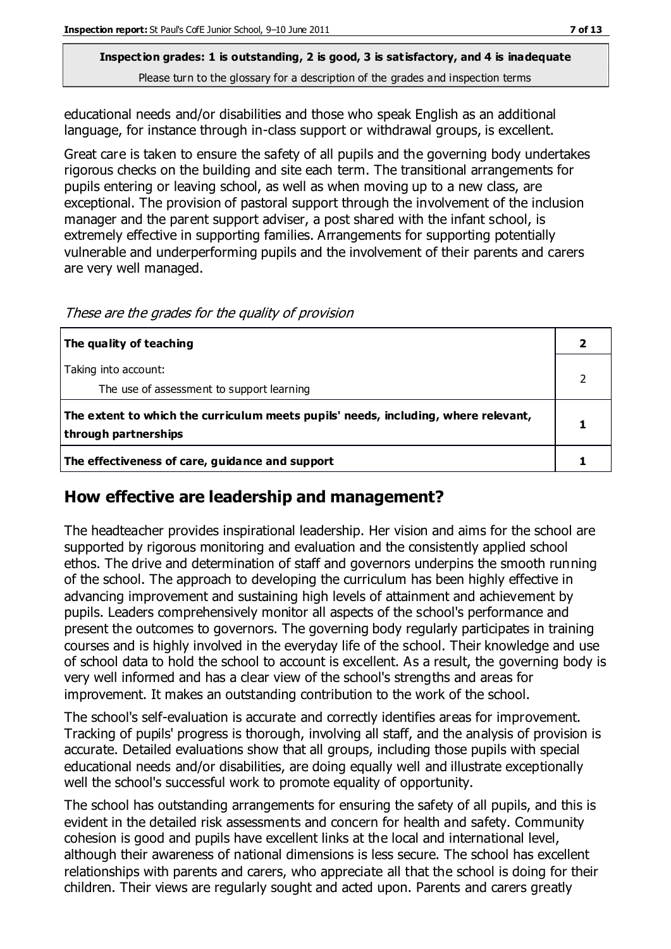educational needs and/or disabilities and those who speak English as an additional language, for instance through in-class support or withdrawal groups, is excellent.

Great care is taken to ensure the safety of all pupils and the governing body undertakes rigorous checks on the building and site each term. The transitional arrangements for pupils entering or leaving school, as well as when moving up to a new class, are exceptional. The provision of pastoral support through the involvement of the inclusion manager and the parent support adviser, a post shared with the infant school, is extremely effective in supporting families. Arrangements for supporting potentially vulnerable and underperforming pupils and the involvement of their parents and carers are very well managed.

These are the grades for the quality of provision

| The quality of teaching                                                                                    |  |
|------------------------------------------------------------------------------------------------------------|--|
| Taking into account:<br>The use of assessment to support learning                                          |  |
| The extent to which the curriculum meets pupils' needs, including, where relevant,<br>through partnerships |  |
| The effectiveness of care, guidance and support                                                            |  |

#### **How effective are leadership and management?**

The headteacher provides inspirational leadership. Her vision and aims for the school are supported by rigorous monitoring and evaluation and the consistently applied school ethos. The drive and determination of staff and governors underpins the smooth running of the school. The approach to developing the curriculum has been highly effective in advancing improvement and sustaining high levels of attainment and achievement by pupils. Leaders comprehensively monitor all aspects of the school's performance and present the outcomes to governors. The governing body regularly participates in training courses and is highly involved in the everyday life of the school. Their knowledge and use of school data to hold the school to account is excellent. As a result, the governing body is very well informed and has a clear view of the school's strengths and areas for improvement. It makes an outstanding contribution to the work of the school.

The school's self-evaluation is accurate and correctly identifies areas for improvement. Tracking of pupils' progress is thorough, involving all staff, and the analysis of provision is accurate. Detailed evaluations show that all groups, including those pupils with special educational needs and/or disabilities, are doing equally well and illustrate exceptionally well the school's successful work to promote equality of opportunity.

The school has outstanding arrangements for ensuring the safety of all pupils, and this is evident in the detailed risk assessments and concern for health and safety. Community cohesion is good and pupils have excellent links at the local and international level, although their awareness of national dimensions is less secure. The school has excellent relationships with parents and carers, who appreciate all that the school is doing for their children. Their views are regularly sought and acted upon. Parents and carers greatly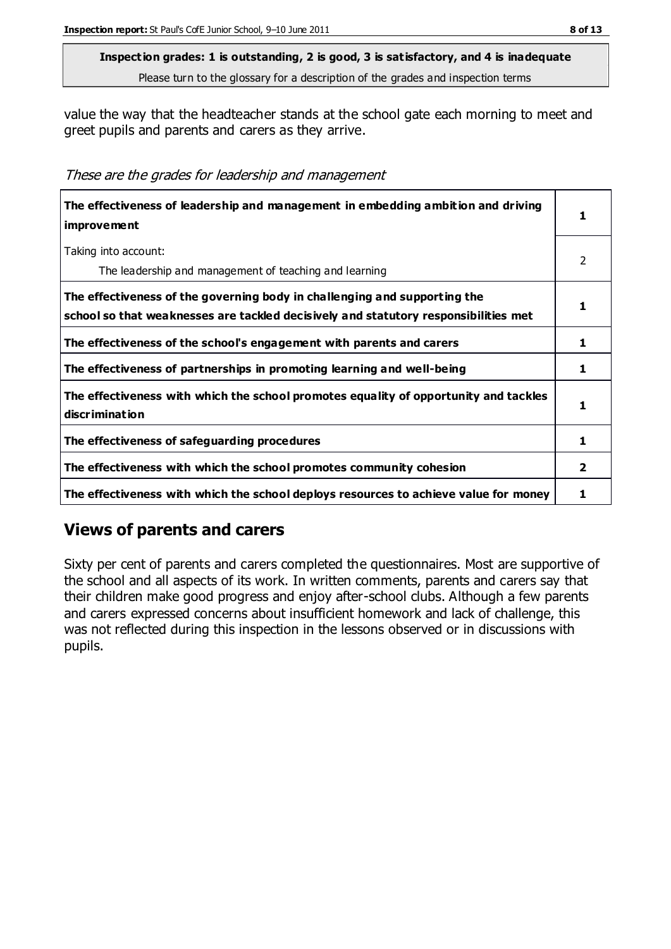value the way that the headteacher stands at the school gate each morning to meet and greet pupils and parents and carers as they arrive.

These are the grades for leadership and management

| The effectiveness of leadership and management in embedding ambition and driving<br>improvement                                                                  |   |
|------------------------------------------------------------------------------------------------------------------------------------------------------------------|---|
| Taking into account:<br>The leadership and management of teaching and learning                                                                                   | 2 |
| The effectiveness of the governing body in challenging and supporting the<br>school so that weaknesses are tackled decisively and statutory responsibilities met |   |
| The effectiveness of the school's engagement with parents and carers                                                                                             |   |
| The effectiveness of partnerships in promoting learning and well-being                                                                                           | 1 |
| The effectiveness with which the school promotes equality of opportunity and tackles<br>discrimination                                                           |   |
| The effectiveness of safeguarding procedures                                                                                                                     | 1 |
| The effectiveness with which the school promotes community cohesion                                                                                              |   |
| The effectiveness with which the school deploys resources to achieve value for money                                                                             |   |

## **Views of parents and carers**

Sixty per cent of parents and carers completed the questionnaires. Most are supportive of the school and all aspects of its work. In written comments, parents and carers say that their children make good progress and enjoy after-school clubs. Although a few parents and carers expressed concerns about insufficient homework and lack of challenge, this was not reflected during this inspection in the lessons observed or in discussions with pupils.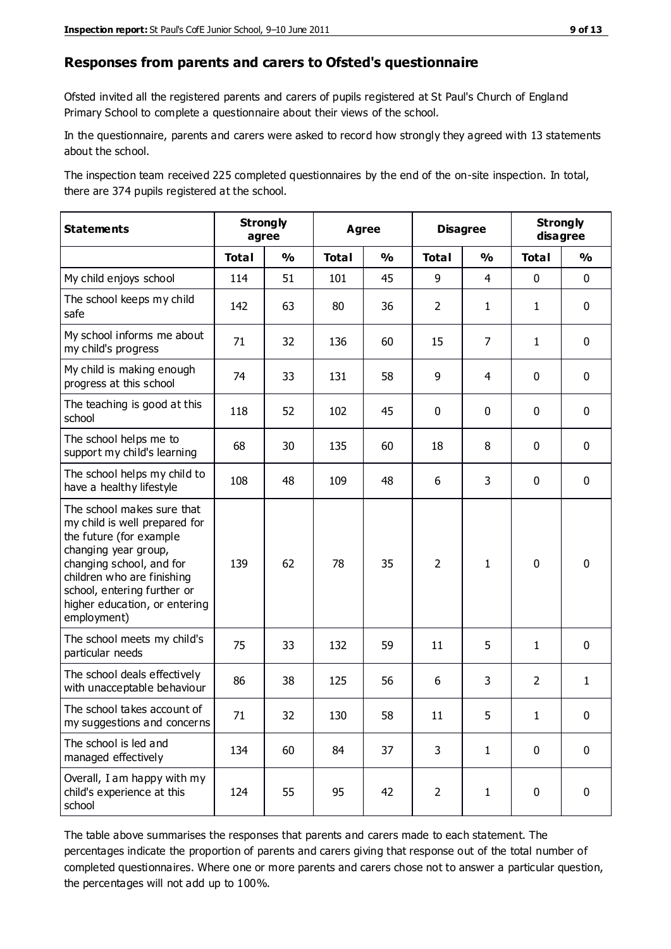#### **Responses from parents and carers to Ofsted's questionnaire**

Ofsted invited all the registered parents and carers of pupils registered at St Paul's Church of England Primary School to complete a questionnaire about their views of the school.

In the questionnaire, parents and carers were asked to record how strongly they agreed with 13 statements about the school.

The inspection team received 225 completed questionnaires by the end of the on-site inspection. In total, there are 374 pupils registered at the school.

| <b>Statements</b>                                                                                                                                                                                                                                       | <b>Strongly</b><br>agree |               | <b>Agree</b> |               | <b>Disagree</b> |                | <b>Strongly</b><br>disagree |               |
|---------------------------------------------------------------------------------------------------------------------------------------------------------------------------------------------------------------------------------------------------------|--------------------------|---------------|--------------|---------------|-----------------|----------------|-----------------------------|---------------|
|                                                                                                                                                                                                                                                         | <b>Total</b>             | $\frac{1}{2}$ | <b>Total</b> | $\frac{1}{2}$ | <b>Total</b>    | $\frac{0}{0}$  | <b>Total</b>                | $\frac{0}{0}$ |
| My child enjoys school                                                                                                                                                                                                                                  | 114                      | 51            | 101          | 45            | 9               | $\overline{4}$ | $\mathbf 0$                 | $\mathbf 0$   |
| The school keeps my child<br>safe                                                                                                                                                                                                                       | 142                      | 63            | 80           | 36            | $\overline{2}$  | $\mathbf{1}$   | $\mathbf{1}$                | $\mathbf 0$   |
| My school informs me about<br>my child's progress                                                                                                                                                                                                       | 71                       | 32            | 136          | 60            | 15              | 7              | $\mathbf{1}$                | $\mathbf 0$   |
| My child is making enough<br>progress at this school                                                                                                                                                                                                    | 74                       | 33            | 131          | 58            | 9               | 4              | $\mathbf 0$                 | $\mathbf 0$   |
| The teaching is good at this<br>school                                                                                                                                                                                                                  | 118                      | 52            | 102          | 45            | 0               | 0              | $\mathbf 0$                 | $\mathbf 0$   |
| The school helps me to<br>support my child's learning                                                                                                                                                                                                   | 68                       | 30            | 135          | 60            | 18              | 8              | $\mathbf 0$                 | $\mathbf 0$   |
| The school helps my child to<br>have a healthy lifestyle                                                                                                                                                                                                | 108                      | 48            | 109          | 48            | 6               | 3              | $\mathbf 0$                 | $\mathbf 0$   |
| The school makes sure that<br>my child is well prepared for<br>the future (for example<br>changing year group,<br>changing school, and for<br>children who are finishing<br>school, entering further or<br>higher education, or entering<br>employment) | 139                      | 62            | 78           | 35            | $\overline{2}$  | $\mathbf{1}$   | $\mathbf 0$                 | $\mathbf 0$   |
| The school meets my child's<br>particular needs                                                                                                                                                                                                         | 75                       | 33            | 132          | 59            | 11              | 5              | $\mathbf{1}$                | $\mathbf 0$   |
| The school deals effectively<br>with unacceptable behaviour                                                                                                                                                                                             | 86                       | 38            | 125          | 56            | 6               | 3              | $\overline{2}$              | $\mathbf{1}$  |
| The school takes account of<br>my suggestions and concerns                                                                                                                                                                                              | 71                       | 32            | 130          | 58            | 11              | 5              | 1                           | $\mathbf{0}$  |
| The school is led and<br>managed effectively                                                                                                                                                                                                            | 134                      | 60            | 84           | 37            | 3               | $\mathbf{1}$   | $\mathbf 0$                 | $\mathbf 0$   |
| Overall, I am happy with my<br>child's experience at this<br>school                                                                                                                                                                                     | 124                      | 55            | 95           | 42            | $\overline{2}$  | $\mathbf{1}$   | $\mathbf 0$                 | $\pmb{0}$     |

The table above summarises the responses that parents and carers made to each statement. The percentages indicate the proportion of parents and carers giving that response out of the total number of completed questionnaires. Where one or more parents and carers chose not to answer a particular question, the percentages will not add up to 100%.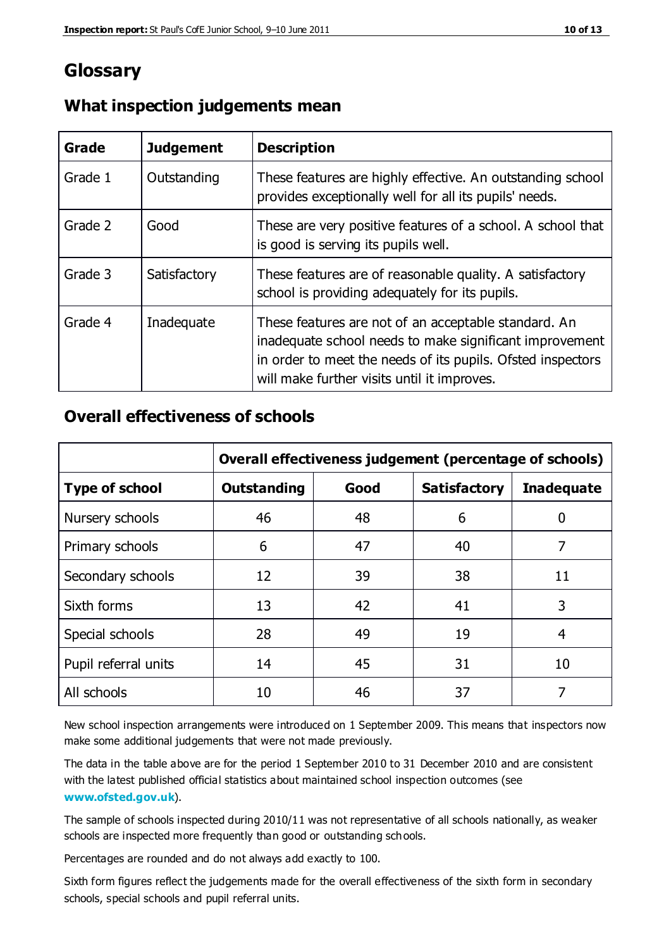## **Glossary**

| Grade   | <b>Judgement</b> | <b>Description</b>                                                                                                                                                                                                            |
|---------|------------------|-------------------------------------------------------------------------------------------------------------------------------------------------------------------------------------------------------------------------------|
| Grade 1 | Outstanding      | These features are highly effective. An outstanding school<br>provides exceptionally well for all its pupils' needs.                                                                                                          |
| Grade 2 | Good             | These are very positive features of a school. A school that<br>is good is serving its pupils well.                                                                                                                            |
| Grade 3 | Satisfactory     | These features are of reasonable quality. A satisfactory<br>school is providing adequately for its pupils.                                                                                                                    |
| Grade 4 | Inadequate       | These features are not of an acceptable standard. An<br>inadequate school needs to make significant improvement<br>in order to meet the needs of its pupils. Ofsted inspectors<br>will make further visits until it improves. |

#### **What inspection judgements mean**

### **Overall effectiveness of schools**

|                       | Overall effectiveness judgement (percentage of schools) |      |                     |                   |
|-----------------------|---------------------------------------------------------|------|---------------------|-------------------|
| <b>Type of school</b> | <b>Outstanding</b>                                      | Good | <b>Satisfactory</b> | <b>Inadequate</b> |
| Nursery schools       | 46                                                      | 48   | 6                   |                   |
| Primary schools       | 6                                                       | 47   | 40                  | 7                 |
| Secondary schools     | 12                                                      | 39   | 38                  | 11                |
| Sixth forms           | 13                                                      | 42   | 41                  | 3                 |
| Special schools       | 28                                                      | 49   | 19                  | 4                 |
| Pupil referral units  | 14                                                      | 45   | 31                  | 10                |
| All schools           | 10                                                      | 46   | 37                  |                   |

New school inspection arrangements were introduced on 1 September 2009. This means that inspectors now make some additional judgements that were not made previously.

The data in the table above are for the period 1 September 2010 to 31 December 2010 and are consistent with the latest published official statistics about maintained school inspection outcomes (see **[www.ofsted.gov.uk](http://www.ofsted.gov.uk/)**).

The sample of schools inspected during 2010/11 was not representative of all schools nationally, as weaker schools are inspected more frequently than good or outstanding schools.

Percentages are rounded and do not always add exactly to 100.

Sixth form figures reflect the judgements made for the overall effectiveness of the sixth form in secondary schools, special schools and pupil referral units.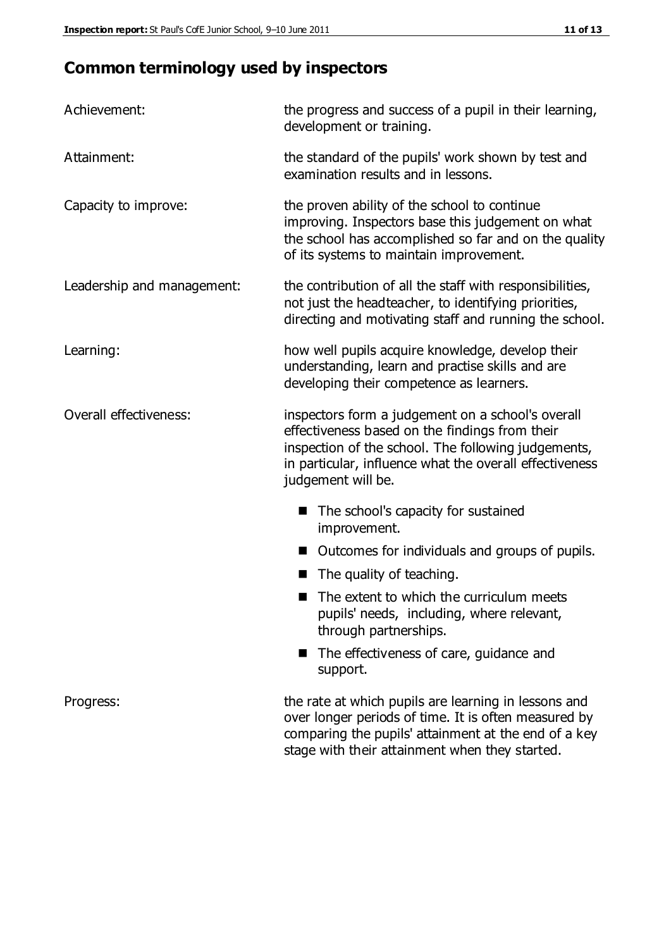## **Common terminology used by inspectors**

| Achievement:                  | the progress and success of a pupil in their learning,<br>development or training.                                                                                                                                                          |  |
|-------------------------------|---------------------------------------------------------------------------------------------------------------------------------------------------------------------------------------------------------------------------------------------|--|
| Attainment:                   | the standard of the pupils' work shown by test and<br>examination results and in lessons.                                                                                                                                                   |  |
| Capacity to improve:          | the proven ability of the school to continue<br>improving. Inspectors base this judgement on what<br>the school has accomplished so far and on the quality<br>of its systems to maintain improvement.                                       |  |
| Leadership and management:    | the contribution of all the staff with responsibilities,<br>not just the headteacher, to identifying priorities,<br>directing and motivating staff and running the school.                                                                  |  |
| Learning:                     | how well pupils acquire knowledge, develop their<br>understanding, learn and practise skills and are<br>developing their competence as learners.                                                                                            |  |
| <b>Overall effectiveness:</b> | inspectors form a judgement on a school's overall<br>effectiveness based on the findings from their<br>inspection of the school. The following judgements,<br>in particular, influence what the overall effectiveness<br>judgement will be. |  |
|                               | The school's capacity for sustained<br>improvement.                                                                                                                                                                                         |  |
|                               | Outcomes for individuals and groups of pupils.                                                                                                                                                                                              |  |
|                               | The quality of teaching.                                                                                                                                                                                                                    |  |
|                               | The extent to which the curriculum meets<br>pupils' needs, including, where relevant,<br>through partnerships.                                                                                                                              |  |
|                               | The effectiveness of care, guidance and<br>support.                                                                                                                                                                                         |  |
| Progress:                     | the rate at which pupils are learning in lessons and<br>over longer periods of time. It is often measured by<br>comparing the pupils' attainment at the end of a key                                                                        |  |

stage with their attainment when they started.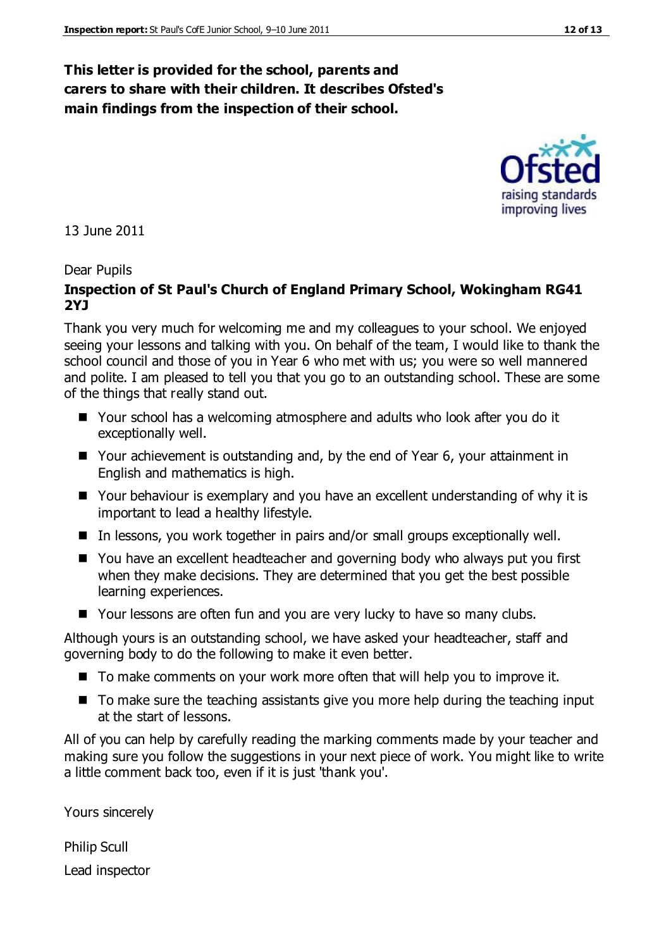#### **This letter is provided for the school, parents and carers to share with their children. It describes Ofsted's main findings from the inspection of their school.**

13 June 2011

#### Dear Pupils

#### **Inspection of St Paul's Church of England Primary School, Wokingham RG41 2YJ**

Thank you very much for welcoming me and my colleagues to your school. We enjoyed seeing your lessons and talking with you. On behalf of the team, I would like to thank the school council and those of you in Year 6 who met with us; you were so well mannered and polite. I am pleased to tell you that you go to an outstanding school. These are some of the things that really stand out.

- Your school has a welcoming atmosphere and adults who look after you do it exceptionally well.
- Your achievement is outstanding and, by the end of Year 6, your attainment in English and mathematics is high.
- Your behaviour is exemplary and you have an excellent understanding of why it is important to lead a healthy lifestyle.
- $\blacksquare$  In lessons, you work together in pairs and/or small groups exceptionally well.
- You have an excellent headteacher and governing body who always put you first when they make decisions. They are determined that you get the best possible learning experiences.
- Your lessons are often fun and you are very lucky to have so many clubs.

Although yours is an outstanding school, we have asked your headteacher, staff and governing body to do the following to make it even better.

- To make comments on your work more often that will help you to improve it.
- To make sure the teaching assistants give you more help during the teaching input at the start of lessons.

All of you can help by carefully reading the marking comments made by your teacher and making sure you follow the suggestions in your next piece of work. You might like to write a little comment back too, even if it is just 'thank you'.

Yours sincerely

Philip Scull Lead inspector